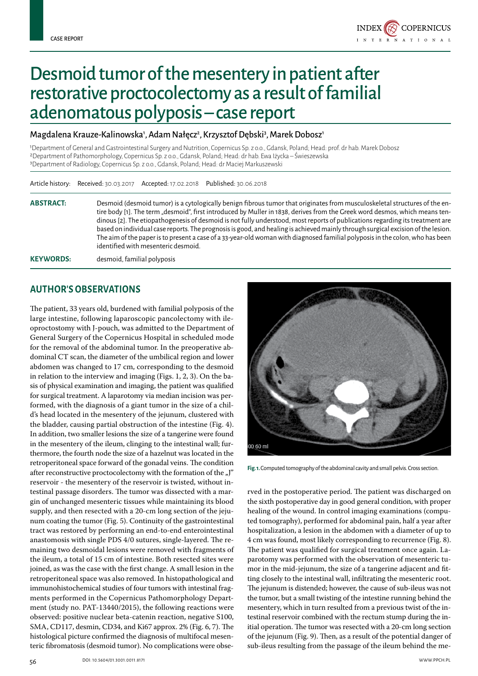

# Desmoid tumor of the mesentery in patient after restorative proctocolectomy as a result of familial adenomatous polyposis – case report

#### Magdalena Krauze-Kalinowska<sup>,</sup>, Adam Nałęcz<sup>2</sup>, Krzysztof Dębski<sup>3</sup>, Marek Dobosz<sup>1</sup>

1Department of General and Gastrointestinal Surgery and Nutrition, Copernicus Sp. z o.o., Gdansk, Poland; Head: prof. dr hab. Marek Dobosz 2Department of Pathomorphology, Copernicus Sp. z o.o., Gdansk, Poland; Head: dr hab. Ewa Iżycka – Świeszewska 3Department of Radiology, Copernicus Sp. z o.o., Gdansk, Poland; Head: dr Maciej Markuszewski

|                  | Article history: Received: 30.03.2017 Accepted: 17.02.2018 Published: 30.06.2018                                                                                                                                                                                                                                                                                                                                                                                                                                                                                                                                                                                                                       |
|------------------|--------------------------------------------------------------------------------------------------------------------------------------------------------------------------------------------------------------------------------------------------------------------------------------------------------------------------------------------------------------------------------------------------------------------------------------------------------------------------------------------------------------------------------------------------------------------------------------------------------------------------------------------------------------------------------------------------------|
| <b>ABSTRACT:</b> | Desmoid (desmoid tumor) is a cytologically benign fibrous tumor that originates from musculoskeletal structures of the en-<br>tire body [1]. The term "desmoid", first introduced by Muller in 1838, derives from the Greek word desmos, which means ten-<br>dinous [2]. The etiopathogenesis of desmoid is not fully understood, most reports of publications regarding its treatment are<br>based on individual case reports. The prognosis is good, and healing is achieved mainly through surgical excision of the lesion.<br>The aim of the paper is to present a case of a 33-year-old woman with diagnosed familial polyposis in the colon, who has been<br>identified with mesenteric desmoid. |
| <b>KEYWORDS:</b> | desmoid, familial polyposis                                                                                                                                                                                                                                                                                                                                                                                                                                                                                                                                                                                                                                                                            |

### **Author's observations**

The patient, 33 years old, burdened with familial polyposis of the large intestine, following laparoscopic pancolectomy with ileoproctostomy with J-pouch, was admitted to the Department of General Surgery of the Copernicus Hospital in scheduled mode for the removal of the abdominal tumor. In the preoperative abdominal CT scan, the diameter of the umbilical region and lower abdomen was changed to 17 cm, corresponding to the desmoid in relation to the interview and imaging (Figs. 1, 2, 3). On the basis of physical examination and imaging, the patient was qualified for surgical treatment. A laparotomy via median incision was performed, with the diagnosis of a giant tumor in the size of a child's head located in the mesentery of the jejunum, clustered with the bladder, causing partial obstruction of the intestine (Fig. 4). In addition, two smaller lesions the size of a tangerine were found in the mesentery of the ileum, clinging to the intestinal wall; furthermore, the fourth node the size of a hazelnut was located in the retroperitoneal space forward of the gonadal veins. The condition after reconstructive proctocolectomy with the formation of the  $J''$ reservoir - the mesentery of the reservoir is twisted, without intestinal passage disorders. The tumor was dissected with a margin of unchanged mesenteric tissues while maintaining its blood supply, and then resected with a 20-cm long section of the jejunum coating the tumor (Fig. 5). Continuity of the gastrointestinal tract was restored by performing an end-to-end enterointestinal anastomosis with single PDS 4/0 sutures, single-layered. The remaining two desmoidal lesions were removed with fragments of the ileum, a total of 15 cm of intestine. Both resected sites were joined, as was the case with the first change. A small lesion in the retroperitoneal space was also removed. In histopathological and immunohistochemical studies of four tumors with intestinal fragments performed in the Copernicus Pathomorphology Department (study no. PAT-13440/2015), the following reactions were observed: positive nuclear beta-catenin reaction, negative S100, SMA, CD117, desmin, CD34, and Ki67 approx. 2% (Fig. 6, 7). The histological picture confirmed the diagnosis of multifocal mesenteric fibromatosis (desmoid tumor). No complications were obse-



**Fig. 1.** Computed tomography of the abdominal cavity and small pelvis. Cross section.

rved in the postoperative period. The patient was discharged on the sixth postoperative day in good general condition, with proper healing of the wound. In control imaging examinations (computed tomography), performed for abdominal pain, half a year after hospitalization, a lesion in the abdomen with a diameter of up to 4 cm was found, most likely corresponding to recurrence (Fig. 8). The patient was qualified for surgical treatment once again. Laparotomy was performed with the observation of mesenteric tumor in the mid-jejunum, the size of a tangerine adjacent and fitting closely to the intestinal wall, infiltrating the mesenteric root. The jejunum is distended; however, the cause of sub-ileus was not the tumor, but a small twisting of the intestine running behind the mesentery, which in turn resulted from a previous twist of the intestinal reservoir combined with the rectum stump during the initial operation. The tumor was resected with a 20-cm long section of the jejunum (Fig. 9). Then, as a result of the potential danger of sub-ileus resulting from the passage of the ileum behind the me-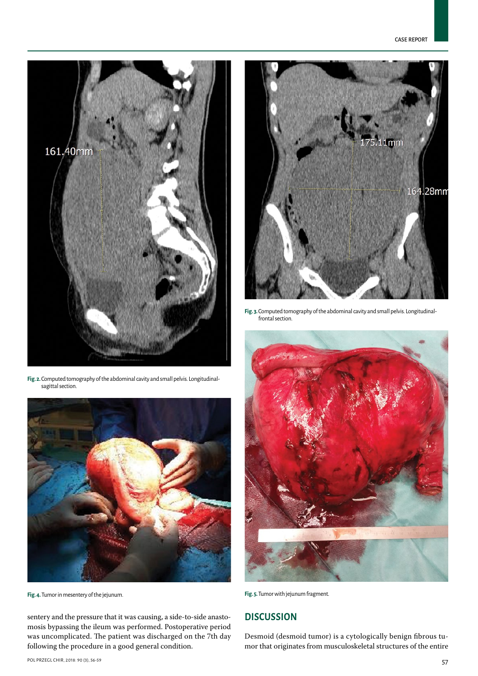

**Fig. 2.** Computed tomography of the abdominal cavity and small pelvis. Longitudinalsagittal section.



**Fig. 4.** Tumor in mesentery of the jejunum. **Fig. 5.** Tumor with jejunum fragment.

sentery and the pressure that it was causing, a side-to-side anastomosis bypassing the ileum was performed. Postoperative period was uncomplicated. The patient was discharged on the 7th day following the procedure in a good general condition.



**Fig. 3.** Computed tomography of the abdominal cavity and small pelvis. Longitudinalfrontal section.



## **Discussion**

Desmoid (desmoid tumor) is a cytologically benign fibrous tumor that originates from musculoskeletal structures of the entire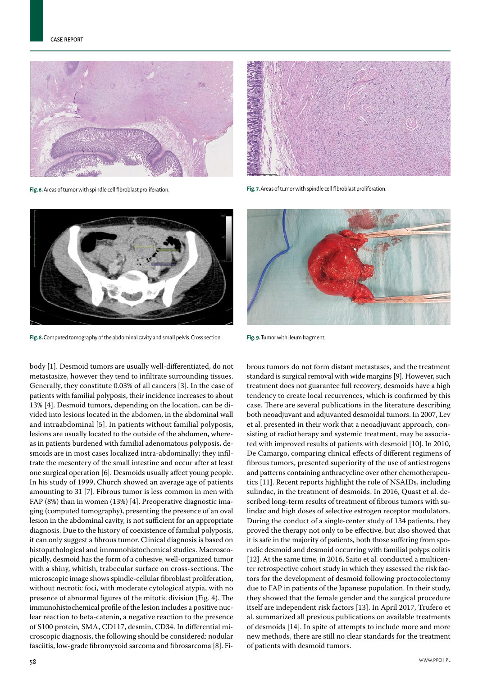

**Fig. 6.** Areas of tumor with spindle cell fibroblast proliferation. **Fig. 7.** Areas of tumor with spindle cell fibroblast proliferation.





**Fig. 8.** Computed tomography of the abdominal cavity and small pelvis. Cross section. **Fig. 9.** Tumor with ileum fragment.

body [1]. Desmoid tumors are usually well-differentiated, do not metastasize, however they tend to infiltrate surrounding tissues. Generally, they constitute 0.03% of all cancers [3]. In the case of patients with familial polyposis, their incidence increases to about 13% [4]. Desmoid tumors, depending on the location, can be divided into lesions located in the abdomen, in the abdominal wall and intraabdominal [5]. In patients without familial polyposis, lesions are usually located to the outside of the abdomen, whereas in patients burdened with familial adenomatous polyposis, desmoids are in most cases localized intra-abdominally; they infiltrate the mesentery of the small intestine and occur after at least one surgical operation [6]. Desmoids usually affect young people. In his study of 1999, Church showed an average age of patients amounting to 31 [7]. Fibrous tumor is less common in men with FAP (8%) than in women (13%) [4]. Preoperative diagnostic imaging (computed tomography), presenting the presence of an oval lesion in the abdominal cavity, is not sufficient for an appropriate diagnosis. Due to the history of coexistence of familial polyposis, it can only suggest a fibrous tumor. Clinical diagnosis is based on histopathological and immunohistochemical studies. Macroscopically, desmoid has the form of a cohesive, well-organized tumor with a shiny, whitish, trabecular surface on cross-sections. The microscopic image shows spindle-cellular fibroblast proliferation, without necrotic foci, with moderate cytological atypia, with no presence of abnormal figures of the mitotic division (Fig. 4). The immunohistochemical profile of the lesion includes a positive nuclear reaction to beta-catenin, a negative reaction to the presence of S100 protein, SMA, CD117, desmin, CD34. In differential microscopic diagnosis, the following should be considered: nodular fasciitis, low-grade fibromyxoid sarcoma and fibrosarcoma [8]. Fi-



brous tumors do not form distant metastases, and the treatment standard is surgical removal with wide margins [9]. However, such treatment does not guarantee full recovery, desmoids have a high tendency to create local recurrences, which is confirmed by this case. There are several publications in the literature describing both neoadjuvant and adjuvanted desmoidal tumors. In 2007, Lev et al. presented in their work that a neoadjuvant approach, consisting of radiotherapy and systemic treatment, may be associated with improved results of patients with desmoid [10]. In 2010, De Camargo, comparing clinical effects of different regimens of fibrous tumors, presented superiority of the use of antiestrogens and patterns containing anthracycline over other chemotherapeutics [11]. Recent reports highlight the role of NSAIDs, including sulindac, in the treatment of desmoids. In 2016, Quast et al. described long-term results of treatment of fibrous tumors with sulindac and high doses of selective estrogen receptor modulators. During the conduct of a single-center study of 134 patients, they proved the therapy not only to be effective, but also showed that it is safe in the majority of patients, both those suffering from sporadic desmoid and desmoid occurring with familial polyps colitis [12]. At the same time, in 2016, Saito et al. conducted a multicenter retrospective cohort study in which they assessed the risk factors for the development of desmoid following proctocolectomy due to FAP in patients of the Japanese population. In their study, they showed that the female gender and the surgical procedure itself are independent risk factors [13]. In April 2017, Trufero et al. summarized all previous publications on available treatments of desmoids [14]. In spite of attempts to include more and more new methods, there are still no clear standards for the treatment of patients with desmoid tumors.